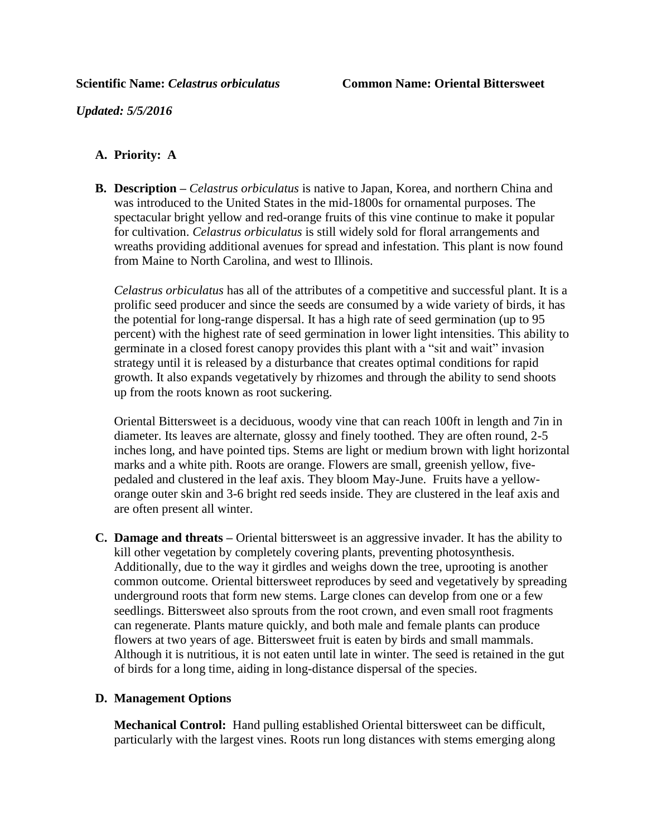*Updated: 5/5/2016*

## **A. Priority: A**

**B. Description –** *Celastrus orbiculatus* is native to Japan, Korea, and northern China and was introduced to the United States in the mid-1800s for ornamental purposes. The spectacular bright yellow and red-orange fruits of this vine continue to make it popular for cultivation. *Celastrus orbiculatus* is still widely sold for floral arrangements and wreaths providing additional avenues for spread and infestation. This plant is now found from Maine to North Carolina, and west to Illinois.

*Celastrus orbiculatus* has all of the attributes of a competitive and successful plant. It is a prolific seed producer and since the seeds are consumed by a wide variety of birds, it has the potential for long-range dispersal. It has a high rate of seed germination (up to 95 percent) with the highest rate of seed germination in lower light intensities. This ability to germinate in a closed forest canopy provides this plant with a "sit and wait" invasion strategy until it is released by a disturbance that creates optimal conditions for rapid growth. It also expands vegetatively by rhizomes and through the ability to send shoots up from the roots known as root suckering.

Oriental Bittersweet is a deciduous, woody vine that can reach 100ft in length and 7in in diameter. Its leaves are alternate, glossy and finely toothed. They are often round, 2-5 inches long, and have pointed tips. Stems are light or medium brown with light horizontal marks and a white pith. Roots are orange. Flowers are small, greenish yellow, fivepedaled and clustered in the leaf axis. They bloom May-June. Fruits have a yelloworange outer skin and 3-6 bright red seeds inside. They are clustered in the leaf axis and are often present all winter.

**C. Damage and threats –** Oriental bittersweet is an aggressive invader. It has the ability to kill other vegetation by completely covering plants, preventing photosynthesis. Additionally, due to the way it girdles and weighs down the tree, uprooting is another common outcome. Oriental bittersweet reproduces by seed and vegetatively by spreading underground roots that form new stems. Large clones can develop from one or a few seedlings. Bittersweet also sprouts from the root crown, and even small root fragments can regenerate. Plants mature quickly, and both male and female plants can produce flowers at two years of age. Bittersweet fruit is eaten by birds and small mammals. Although it is nutritious, it is not eaten until late in winter. The seed is retained in the gut of birds for a long time, aiding in long-distance dispersal of the species.

## **D. Management Options**

**Mechanical Control:** Hand pulling established Oriental bittersweet can be difficult, particularly with the largest vines. Roots run long distances with stems emerging along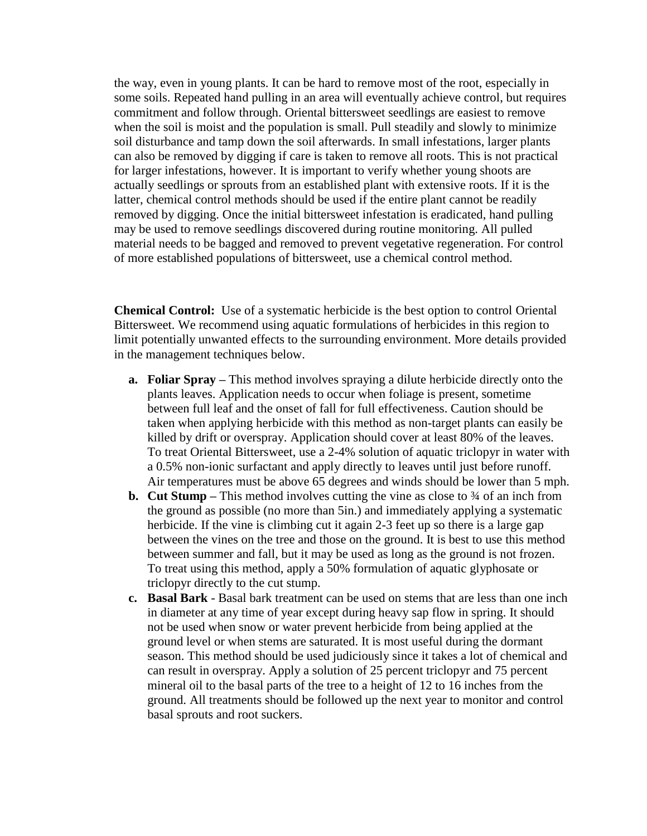the way, even in young plants. It can be hard to remove most of the root, especially in some soils. Repeated hand pulling in an area will eventually achieve control, but requires commitment and follow through. Oriental bittersweet seedlings are easiest to remove when the soil is moist and the population is small. Pull steadily and slowly to minimize soil disturbance and tamp down the soil afterwards. In small infestations, larger plants can also be removed by digging if care is taken to remove all roots. This is not practical for larger infestations, however. It is important to verify whether young shoots are actually seedlings or sprouts from an established plant with extensive roots. If it is the latter, chemical control methods should be used if the entire plant cannot be readily removed by digging. Once the initial bittersweet infestation is eradicated, hand pulling may be used to remove seedlings discovered during routine monitoring. All pulled material needs to be bagged and removed to prevent vegetative regeneration. For control of more established populations of bittersweet, use a chemical control method.

**Chemical Control:** Use of a systematic herbicide is the best option to control Oriental Bittersweet. We recommend using aquatic formulations of herbicides in this region to limit potentially unwanted effects to the surrounding environment. More details provided in the management techniques below.

- **a. Foliar Spray –** This method involves spraying a dilute herbicide directly onto the plants leaves. Application needs to occur when foliage is present, sometime between full leaf and the onset of fall for full effectiveness. Caution should be taken when applying herbicide with this method as non-target plants can easily be killed by drift or overspray. Application should cover at least 80% of the leaves. To treat Oriental Bittersweet, use a 2-4% solution of aquatic triclopyr in water with a 0.5% non-ionic surfactant and apply directly to leaves until just before runoff. Air temperatures must be above 65 degrees and winds should be lower than 5 mph.
- **b. Cut Stump** This method involves cutting the vine as close to  $\frac{3}{4}$  of an inch from the ground as possible (no more than 5in.) and immediately applying a systematic herbicide. If the vine is climbing cut it again 2-3 feet up so there is a large gap between the vines on the tree and those on the ground. It is best to use this method between summer and fall, but it may be used as long as the ground is not frozen. To treat using this method, apply a 50% formulation of aquatic glyphosate or triclopyr directly to the cut stump.
- **c. Basal Bark** Basal bark treatment can be used on stems that are less than one inch in diameter at any time of year except during heavy sap flow in spring. It should not be used when snow or water prevent herbicide from being applied at the ground level or when stems are saturated. It is most useful during the dormant season. This method should be used judiciously since it takes a lot of chemical and can result in overspray. Apply a solution of 25 percent triclopyr and 75 percent mineral oil to the basal parts of the tree to a height of 12 to 16 inches from the ground. All treatments should be followed up the next year to monitor and control basal sprouts and root suckers.